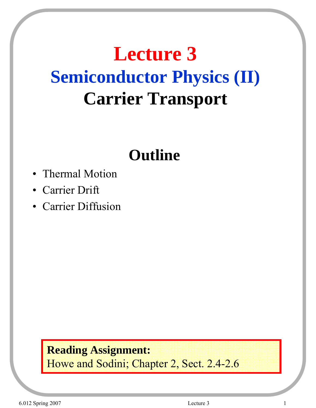# **Lecture 3 Semiconductor Physics (II) Carrier Transport**

### **Outline**

- Thermal Motion
- Carrier Drift
- Carrier Diffusion

#### **Reading Assignment:** Howe and Sodini; Chapter 2, Sect. 2.4-2.6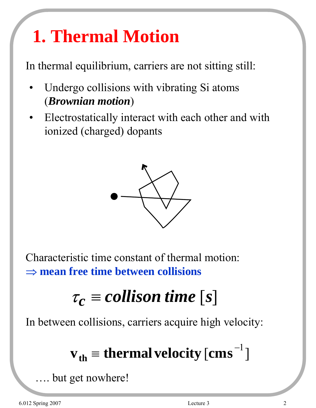# **1. Thermal Motion**

In thermal equilibrium, carriers are not sitting still:

- Undergo collisions with vibrating Si atoms (*Brownian motion*)
- Electrostatically interact with each other and with ionized (charged) dopants



Characteristic time constant of thermal motion: ⇒ **mean free time between collisions**

# $\tau_c \equiv$  *collison time* [*s*]

In between collisions, carriers acquire high velocity:

# $\mathbf{v}_{\mathbf{th}} = \mathbf{thermal}$  velocity  $\left[\mathbf{cms}^{-1}\right]$

but get nowhere!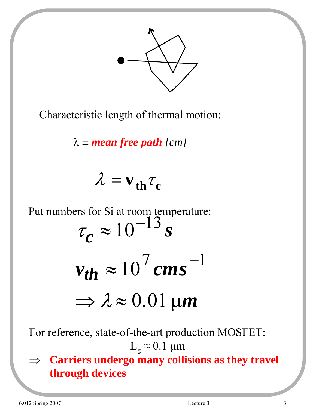

Characteristic length of thermal motion:

 $\lambda \equiv$  *mean free path* [*cm*]

$$
\lambda = v_{th} \tau_c
$$

Put numbers for Si at room temperature:  $\tau_c \approx 10^{-13} s$  $v_{th} \approx 10^{7} \, \text{cm s}^{-1}$ 

$$
\Rightarrow \lambda \approx 0.01 \,\mu m
$$

For reference, state-of-the-art production MOSFET:  $\text{L}_\text{g} \approx 0.1 \text{ }\mu\text{m}$ 

⇒ **Carriers undergo many collisions as they travel through devices**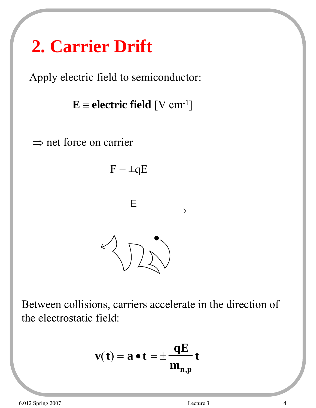# **2. Carrier Drift**

Apply electric field to semiconductor:

 $E \equiv$  **electric field** [V cm<sup>-1</sup>]







Between collisions, carriers accelerate in the direction of the electrostatic field:

$$
\mathbf{v(t)} = \mathbf{a} \bullet \mathbf{t} = \pm \frac{\mathbf{qE}}{\mathbf{m}_{\mathbf{n},\mathbf{p}}} \mathbf{t}
$$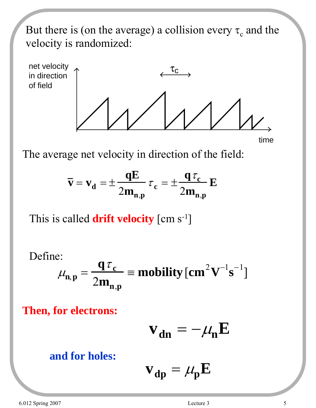But there is (on the average) a collision every  $\tau_c$  and the velocity is randomized:



The average net velocity in direction of the field:

$$
\overline{\mathbf{v}} = \mathbf{v}_d = \pm \frac{\mathbf{q} \mathbf{E}}{2\mathbf{m}_{n,p}} \tau_c = \pm \frac{\mathbf{q} \tau_c}{2\mathbf{m}_{n,p}} \mathbf{E}
$$

This is called **drift velocity** [cm s-1]

Define:

$$
\mu_{n,p} = \frac{q \tau_c}{2m_{n,p}} \equiv \text{mobility} \, [\text{cm}^2 \text{V}^{-1} \text{s}^{-1}]
$$

**Then, for electrons:**

$$
\mathbf{v}_{dn} = -\mu_n \mathbf{E}
$$

#### **and for holes:**

$$
\mathbf{v}_{dp} = \mu_p \mathbf{E}
$$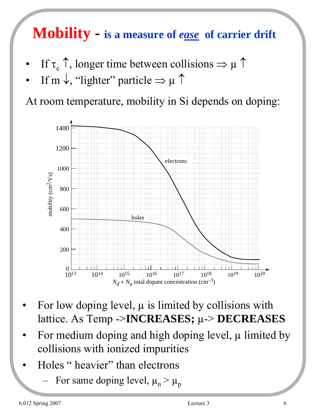### **Mobility - is a measure of** *ease* **of carrier drift**

- If  $\tau_c \uparrow$ , longer time between collisions  $\Rightarrow \mu \uparrow$
- If m  $\downarrow$ , "lighter" particle  $\Rightarrow \mu \uparrow$

At room temperature, mobility in Si depends on doping:



- For low doping level,  $\mu$  is limited by collisions with lattice. As Temp ->**INCREASES;** µ-> **DECREASES**
- For medium doping and high doping level,  $\mu$  limited by collisions with ionized impurities
- Holes " heavier" than electrons
	- For same doping level,  $\mu_n > \mu_p$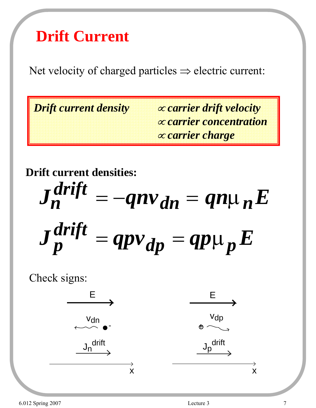### **Drift Current**

Net velocity of charged particles  $\Rightarrow$  electric current:

*Drift current density* <sup>∝</sup> *carrier drift velocity* ∝ *carrier concentration*  ∝ *carrier charge*

**Drift current densities:**

$$
J_n^{drift} = -qnv_{dn} = qn\mu_n E
$$
  

$$
J_p^{drift} = qpv_{dp} = qp\mu_p E
$$

Check signs:

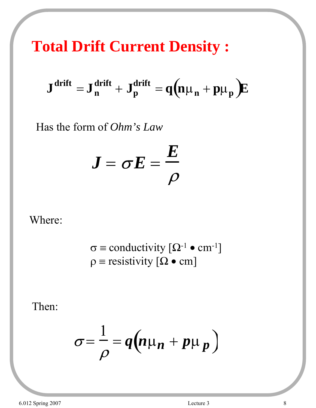**Total Drift Current Density :**

$$
\boldsymbol{J}^{drift} = \boldsymbol{J}^{drift}_n + \boldsymbol{J}^{drift}_p = q(n\mu_n + p\mu_p)\boldsymbol{E}
$$

Has the form of *Ohm's Law*

$$
\boldsymbol{J} = \boldsymbol{\sigma} \boldsymbol{E} = \frac{\boldsymbol{E}}{\rho}
$$

#### Where:

$$
\sigma \equiv \text{conductivity} [\Omega^{-1} \bullet \text{ cm}^{-1}]
$$

$$
\rho \equiv \text{resistivity} [\Omega \bullet \text{ cm}]
$$

Then:

$$
\sigma = \frac{1}{\rho} = q \Big( n \mu_n + p \mu_p \Big)
$$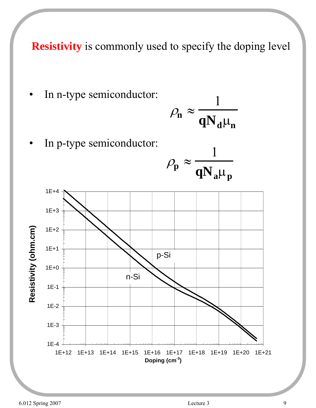**Resistivity** is commonly used to specify the doping level

In n-type semiconductor:

$$
\rho_{\mathbf{n}} \approx \frac{1}{\mathbf{q} \mathbf{N}_{\mathbf{d}} \mu_{\mathbf{n}}}
$$

In p-type semiconductor:



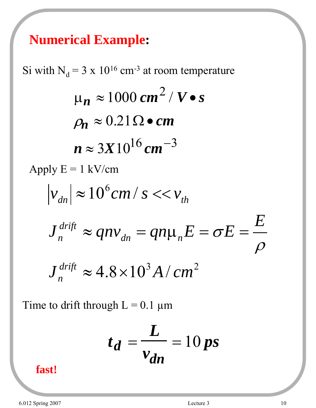### **Numerical Example:**

Si with  $N_d = 3 \times 10^{16}$  cm<sup>-3</sup> at room temperature  $\mu_n \approx 1000 \text{ cm}^2 / V \cdot s$  $\rho_n \approx 0.21 \Omega \bullet cm$  $n \approx 3X10^{16}$  *cm*<sup>-3</sup> Apply  $E = 1$  kV/cm  $J_n^{drift} \approx 4.8 \times 10^3 A/cm^2$  $|v_{dn}| \approx 10^6 cm / s << v_{th}$  $J_n^{drift} \approx qn v_{dn} = qn \mu_n E = \sigma E = \frac{E}{\sigma}$  $\frac{drift}{n} \approx 4.8 \times$ *drift*  $\frac{d}{dn}^{drift} \approx qn v_{dn}^{} = qn \mu_{n}^{} E = \sigma E =$  $\rho$ σ

Time to drift through  $L = 0.1 \mu m$ 

$$
t_d = \frac{L}{v_{dn}} = 10 ps
$$

**fast!**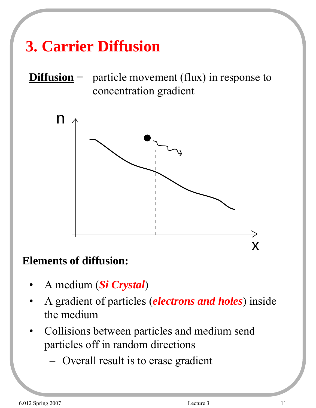## **3. Carrier Diffusion**

### **Diffusion** = particle movement (flux) in response to concentration gradient



#### **Elements of diffusion:**

- A medium (*Si Crystal*)
- A gradient of particles (*electrons and holes*) inside the medium
- Collisions between particles and medium send particles off in random directions
	- Overall result is to erase gradient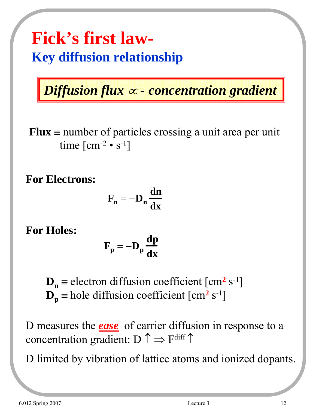### **Fick's first law-Key diffusion relationship**

*Diffusion flux* <sup>∝</sup> *- concentration gradient*

**Flux**  $\equiv$  number of particles crossing a unit area per unit time  $\lceil$  cm<sup>-2</sup> • s<sup>-1</sup>]

**For Electrons:**

$$
\mathbf{F}_n = -\mathbf{D}_n \frac{dn}{dx}
$$

**For Holes:**

$$
\mathbf{F}_{\mathbf{p}} = -\mathbf{D}_{\mathbf{p}} \frac{\mathbf{dp}}{\mathbf{dx}}
$$

 $\mathbf{D}_n$  = electron diffusion coefficient  $\text{cm}^2 \text{ s}^{-1}$  $\mathbf{D}_{\mathbf{p}}$  = hole diffusion coefficient [cm<sup>2</sup> s<sup>-1</sup>]

D measures the *ease* of carrier diffusion in response to a concentration gradient:  $D \uparrow \Rightarrow F^{\text{diff}} \uparrow$ 

D limited by vibration of lattice atoms and ionized dopants.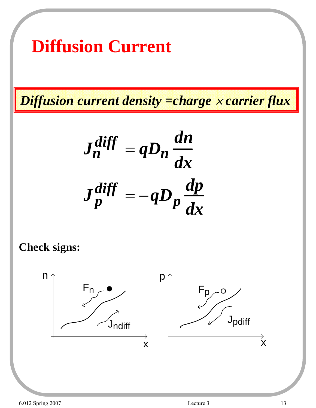## **Diffusion Current**

*Diffusion current density =charge* <sup>×</sup> *carrier flux*

$$
J_n^{diff} = qD_n \frac{dn}{dx}
$$

$$
J_p^{diff} = -qD_p \frac{dp}{dx}
$$

#### **Check signs:**

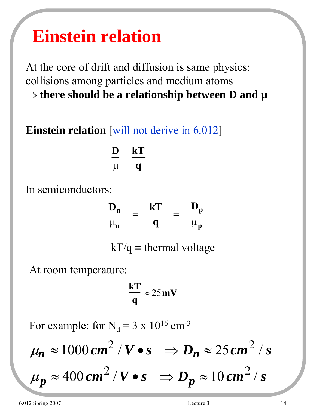## **Einstein relation**

At the core of drift and diffusion is same physics: collisions among particles and medium atoms ⇒ **there should be a relationship between D and µ**

#### **Einstein relation** [will not derive in 6.012]

$$
\frac{D}{\mu}=\frac{kT}{q}
$$

In semiconductors:

| $D_n$         | -- | kT | -- | $D_{n}$       |
|---------------|----|----|----|---------------|
| $\mu_{\bf n}$ |    | u  |    | $\mu_{\bf p}$ |

 $kT/q \equiv$  thermal voltage

At room temperature:

$$
\frac{\mathbf{k}\mathbf{T}}{\mathbf{q}} \approx 25\,\mathbf{m}\mathbf{V}
$$

For example: for  $N_d = 3 \times 10^{16}$  cm<sup>-3</sup>

$$
\mu_n \approx 1000 \, \text{cm}^2 / \text{V} \cdot \text{s} \quad \Rightarrow \quad D_n \approx 25 \, \text{cm}^2 / \text{s}
$$
\n
$$
\mu_p \approx 400 \, \text{cm}^2 / \text{V} \cdot \text{s} \quad \Rightarrow \quad D_p \approx 10 \, \text{cm}^2 / \text{s}
$$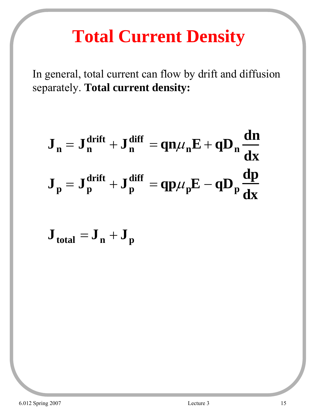## **Total Current Density**

In general, total current can flow by drift and diffusion separately. **Total current density:**

$$
J_n = J_n^{drift} + J_n^{diff} = qn\mu_n E + qD_n \frac{dn}{dx}
$$
  

$$
J_p = J_p^{drift} + J_p^{diff} = qp\mu_p E - qD_p \frac{dp}{dx}
$$

 $J_{total} = J_n + J_p$